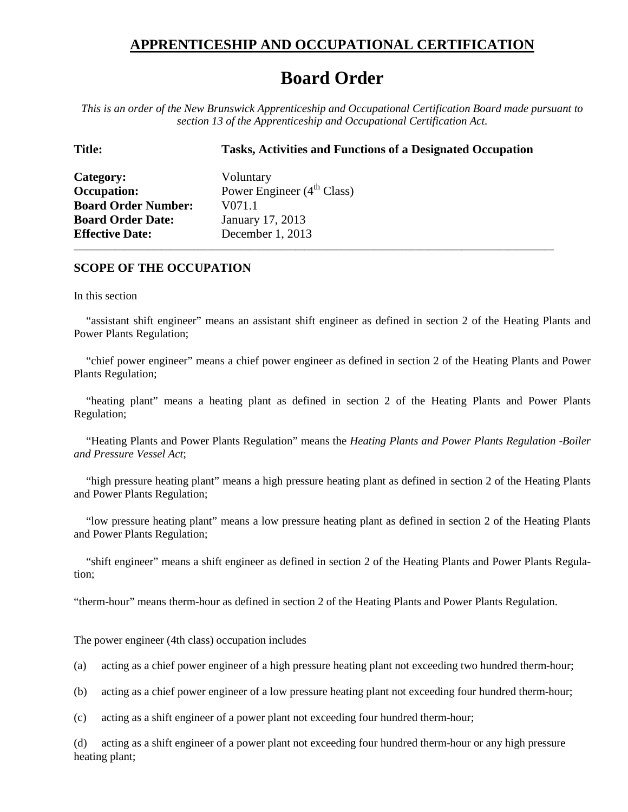## **APPRENTICESHIP AND OCCUPATIONAL CERTIFICATION**

## **Board Order**

*This is an order of the New Brunswick Apprenticeship and Occupational Certification Board made pursuant to section 13 of the Apprenticeship and Occupational Certification Act.*

## **Title: Tasks, Activities and Functions of a Designated Occupation**

**Category:** Voluntary **Occupation:** Power Engineer (4<sup>th</sup> Class) **Board Order Number:** V071.1 **Board Order Date:** January 17, 2013 **Effective Date:** December 1, 2013

## **SCOPE OF THE OCCUPATION**

In this section

"assistant shift engineer" means an assistant shift engineer as defined in section 2 of the Heating Plants and Power Plants Regulation;

\_\_\_\_\_\_\_\_\_\_\_\_\_\_\_\_\_\_\_\_\_\_\_\_\_\_\_\_\_\_\_\_\_\_\_\_\_\_\_\_\_\_\_\_\_\_\_\_\_\_\_\_\_\_\_\_\_\_\_\_\_\_\_\_\_\_\_\_\_\_\_\_\_\_\_\_\_\_\_\_\_\_\_\_\_\_\_\_\_\_\_\_\_\_\_\_\_\_\_\_\_\_\_\_

"chief power engineer" means a chief power engineer as defined in section 2 of the Heating Plants and Power Plants Regulation;

"heating plant" means a heating plant as defined in section 2 of the Heating Plants and Power Plants Regulation;

"Heating Plants and Power Plants Regulation" means the *Heating Plants and Power Plants Regulation* -*Boiler and Pressure Vessel Act*;

"high pressure heating plant" means a high pressure heating plant as defined in section 2 of the Heating Plants and Power Plants Regulation;

"low pressure heating plant" means a low pressure heating plant as defined in section 2 of the Heating Plants and Power Plants Regulation;

"shift engineer" means a shift engineer as defined in section 2 of the Heating Plants and Power Plants Regulation;

"therm-hour" means therm-hour as defined in section 2 of the Heating Plants and Power Plants Regulation.

The power engineer (4th class) occupation includes

(a) acting as a chief power engineer of a high pressure heating plant not exceeding two hundred therm-hour;

(b) acting as a chief power engineer of a low pressure heating plant not exceeding four hundred therm-hour;

(c) acting as a shift engineer of a power plant not exceeding four hundred therm-hour;

(d) acting as a shift engineer of a power plant not exceeding four hundred therm-hour or any high pressure heating plant;